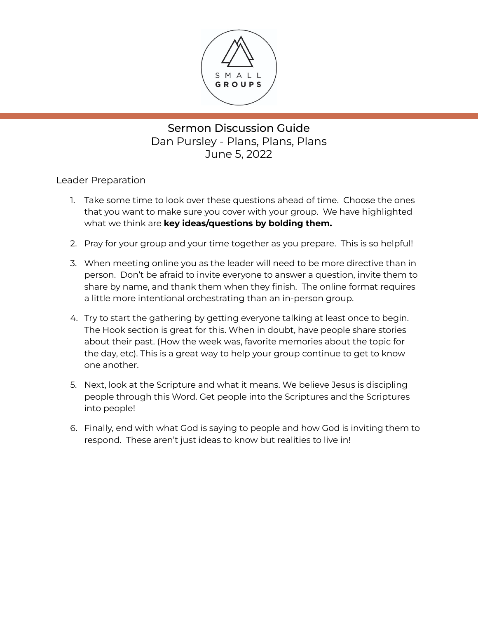

Sermon Discussion Guide Dan Pursley - Plans, Plans, Plans June 5, 2022

Leader Preparation

- 1. Take some time to look over these questions ahead of time. Choose the ones that you want to make sure you cover with your group. We have highlighted what we think are **key ideas/questions by bolding them.**
- 2. Pray for your group and your time together as you prepare. This is so helpful!
- 3. When meeting online you as the leader will need to be more directive than in person. Don't be afraid to invite everyone to answer a question, invite them to share by name, and thank them when they finish. The online format requires a little more intentional orchestrating than an in-person group.
- 4. Try to start the gathering by getting everyone talking at least once to begin. The Hook section is great for this. When in doubt, have people share stories about their past. (How the week was, favorite memories about the topic for the day, etc). This is a great way to help your group continue to get to know one another.
- 5. Next, look at the Scripture and what it means. We believe Jesus is discipling people through this Word. Get people into the Scriptures and the Scriptures into people!
- 6. Finally, end with what God is saying to people and how God is inviting them to respond. These aren't just ideas to know but realities to live in!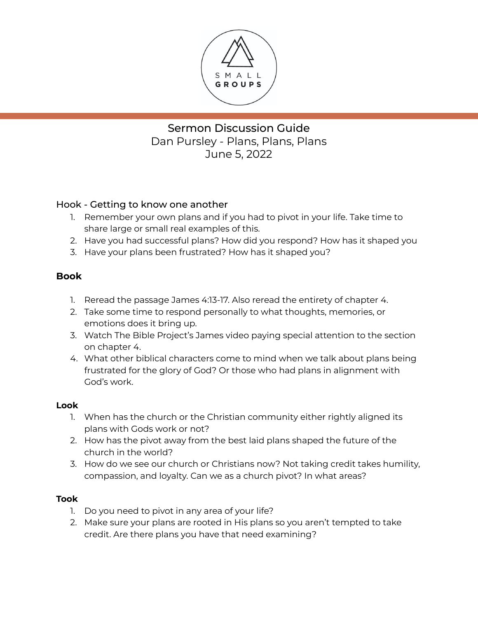

Sermon Discussion Guide Dan Pursley - Plans, Plans, Plans June 5, 2022

## Hook - Getting to know one another

- 1. Remember your own plans and if you had to pivot in your life. Take time to share large or small real examples of this.
- 2. Have you had successful plans? How did you respond? How has it shaped you
- 3. Have your plans been frustrated? How has it shaped you?

## **Book**

- 1. Reread the passage James 4:13-17. Also reread the entirety of chapter 4.
- 2. Take some time to respond personally to what thoughts, memories, or emotions does it bring up.
- 3. Watch The Bible Project's James video paying special attention to the section on chapter 4.
- 4. What other biblical characters come to mind when we talk about plans being frustrated for the glory of God? Or those who had plans in alignment with God's work.

## **Look**

- 1. When has the church or the Christian community either rightly aligned its plans with Gods work or not?
- 2. How has the pivot away from the best laid plans shaped the future of the church in the world?
- 3. How do we see our church or Christians now? Not taking credit takes humility, compassion, and loyalty. Can we as a church pivot? In what areas?

## **Took**

- 1. Do you need to pivot in any area of your life?
- 2. Make sure your plans are rooted in His plans so you aren't tempted to take credit. Are there plans you have that need examining?